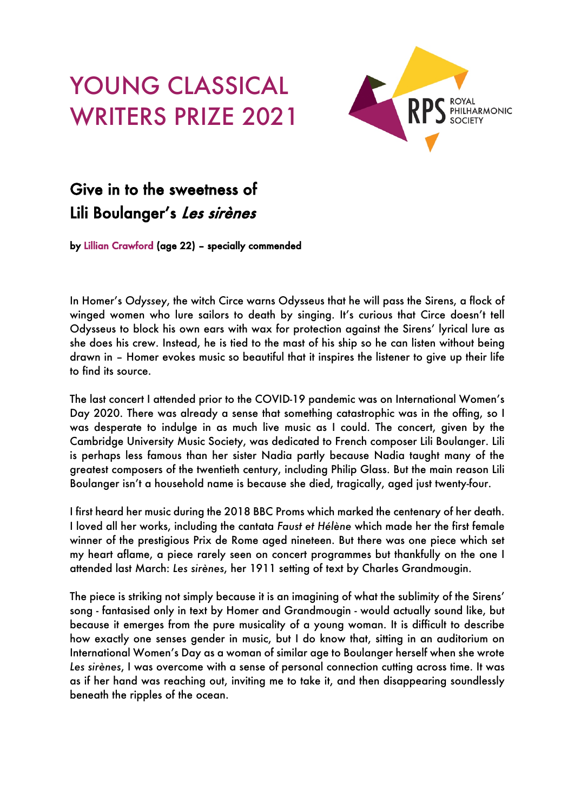## YOUNG CLASSICAL WRITERS PRIZE 2021



## Give in to the sweetness of Lili Boulanger's Les sirènes

by Lillian Crawford (age 22) – specially commended

In Homer's *Odyssey*, the witch Circe warns Odysseus that he will pass the Sirens, a flock of winged women who lure sailors to death by singing. It's curious that Circe doesn't tell Odysseus to block his own ears with wax for protection against the Sirens' lyrical lure as she does his crew. Instead, he is tied to the mast of his ship so he can listen without being drawn in – Homer evokes music so beautiful that it inspires the listener to give up their life to find its source.

The last concert I attended prior to the COVID-19 pandemic was on International Women's Day 2020. There was already a sense that something catastrophic was in the offing, so I was desperate to indulge in as much live music as I could. The concert, given by the Cambridge University Music Society, was dedicated to French composer Lili Boulanger. Lili is perhaps less famous than her sister Nadia partly because Nadia taught many of the greatest composers of the twentieth century, including Philip Glass. But the main reason Lili Boulanger isn't a household name is because she died, tragically, aged just twenty-four.

I first heard her music during the 2018 BBC Proms which marked the centenary of her death. I loved all her works, including the cantata *Faust et Hélène* which made her the first female winner of the prestigious Prix de Rome aged nineteen. But there was one piece which set my heart aflame, a piece rarely seen on concert programmes but thankfully on the one I attended last March: *Les sirènes*, her 1911 setting of text by Charles Grandmougin.

The piece is striking not simply because it is an imagining of what the sublimity of the Sirens' song - fantasised only in text by Homer and Grandmougin - would actually sound like, but because it emerges from the pure musicality of a young woman. It is difficult to describe how exactly one senses gender in music, but I do know that, sitting in an auditorium on International Women's Day as a woman of similar age to Boulanger herself when she wrote *Les sirènes*, I was overcome with a sense of personal connection cutting across time. It was as if her hand was reaching out, inviting me to take it, and then disappearing soundlessly beneath the ripples of the ocean.